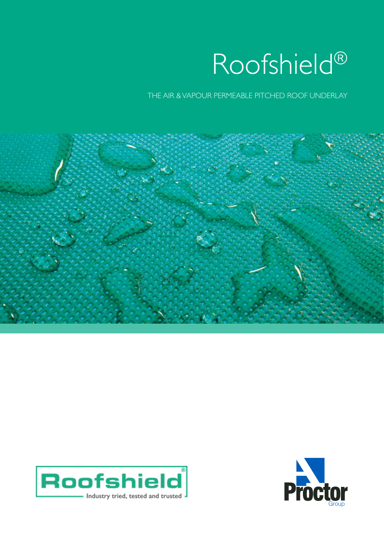

THE AIR & VAPOUR PERMEABLE PITCHED ROOF UNDERLAY





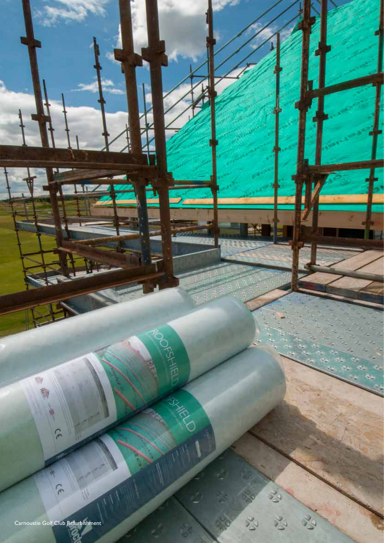Carnoustie Golf Club Refurbishment

 $\tilde{r}$ 

一

H

 $\tilde{C}$ 

POGENTIERD

R

**ARKAN** 

33

 $\epsilon_{\rm c}$ 

 $\tilde{\mathcal{C}}$ 

661

Roofshield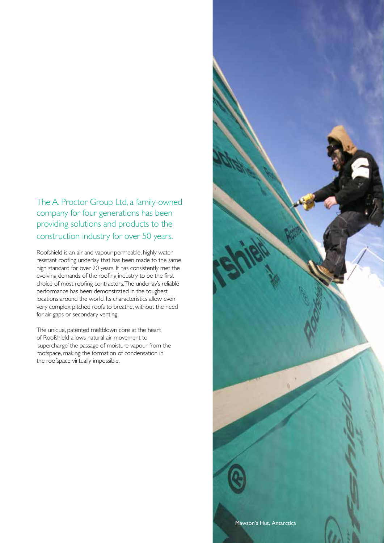## The A. Proctor Group Ltd, a family-owned company for four generations has been providing solutions and products to the construction industry for over 50 years.

Roofshield is an air and vapour permeable, highly water resistant roofing underlay that has been made to the same high standard for over 20 years. It has consistently met the evolving demands of the roofing industry to be the first choice of most roofing contractors. The underlay's reliable performance has been demonstrated in the toughest locations around the world. Its characteristics allow even very complex pitched roofs to breathe, without the need for air gaps or secondary venting.

The unique, patented meltblown core at the heart of Roofshield allows natural air movement to 'supercharge' the passage of moisture vapour from the roofspace, making the formation of condensation in the roofspace virtually impossible.

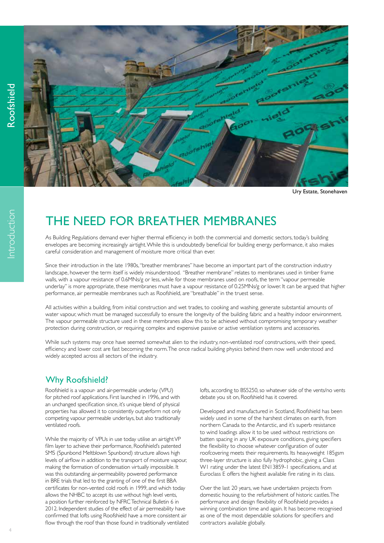

Ury Estate, Stonehaven

# THE NEED FOR BREATHER MEMBRANES

As Building Regulations demand ever higher thermal efficiency in both the commercial and domestic sectors, today's building envelopes are becoming increasingly airtight. While this is undoubtedly beneficial for building energy performance, it also makes careful consideration and management of moisture more critical than ever.

Since their introduction in the late 1980s, "breather membranes" have become an important part of the construction industry landscape, however the term itself is widely misunderstood. "Breather membrane" relates to membranes used in timber frame walls, with a vapour resistance of 0.6MNs/g or less, while for those membranes used on roofs, the term "vapour permeable underlay" is more appropriate, these membranes must have a vapour resistance of 0.25MNs/g or lower. It can be argued that higher performance, air permeable membranes such as Roofshield, are "breathable" in the truest sense.

All activities within a building, from initial construction and wet trades, to cooking and washing, generate substantial amounts of water vapour, which must be managed successfully to ensure the longevity of the building fabric and a healthy indoor environment. The vapour permeable structure used in these membranes allow this to be achieved without compromising temporary weather protection during construction, or requiring complex and expensive passive or active ventilation systems and accessories.

While such systems may once have seemed somewhat alien to the industry, non-ventilated roof constructions, with their speed, efficiency and lower cost are fast becoming the norm. The once radical building physics behind them now well understood and widely accepted across all sectors of the industry.

## Why Roofshield?

Roofshield is a vapour- and air-permeable underlay (VPU) for pitched roof applications. First launched in 1996, and with an unchanged specification since, it's unique blend of physical properties has allowed it to consistently outperform not only competing vapour permeable underlays, but also traditionally ventilated roofs.

While the majority of VPUs in use today utilise an airtight VP film layer to achieve their performance, Roofshield's patented SMS (Spunbond Meltblown Spunbond) structure allows high levels of airflow in addition to the transport of moisture vapour, making the formation of condensation virtually impossible. It was this outstanding air-permeability powered performance in BRE trials that led to the granting of one of the first BBA certificates for non-vented cold roofs in 1999, and which today allows the NHBC to accept its use without high level vents, a position further reinforced by NFRC Technical Bulletin 6 in 2012. Independent studies of the effect of air permeability have confirmed that lofts using Roofshield have a more consistent air flow through the roof than those found in traditionally ventilated lofts, according to BS5250, so whatever side of the vents/no vents debate you sit on, Roofshield has it covered.

Developed and manufactured in Scotland, Roofshield has been widely used in some of the harshest climates on earth, from northern Canada to the Antarctic, and it's superb resistance to wind loadings allow it to be used without restrictions on batten spacing in any UK exposure conditions, giving specifiers the flexibility to choose whatever configuration of outer roofcovering meets their requirements. Its heavyweight 185gsm three-layer structure is also fully hydrophobic, giving a Class W1 rating under the latest EN13859-1 specifications, and at Euroclass E offers the highest available fire rating in its class.

Over the last 20 years, we have undertaken projects from domestic housing to the refurbishment of historic castles. The performance and design flexibility of Roofshield provides a winning combination time and again. It has become recognised as one of the most dependable solutions for specifiers and contractors available globally.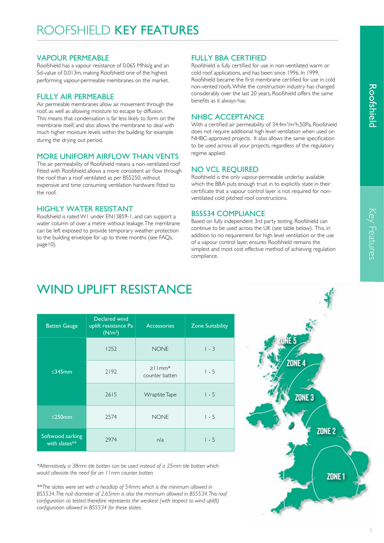### VAPOUR PERMEABLE

Roofshield has a vapour resistance of 0.065 MNs/g and an Sd-value of 0.013m, making Roofshield one of the highest performing vapour-permeable membranes on the market.

### FULLY AIR PERMEABLE

Air permeable membranes allow air movement through the roof, as well as allowing moisture to escape by diffusion. This means that condensation is far less likely to form on the membrane itself, and also allows the membrane to deal with much higher moisture levels within the building, for example during the drying out period.

### MORE UNIFORM AIRFLOW THAN VENTS

The air permeability of Roofshield means a non-ventilated roof fitted with Roofshield allows a more consistent air flow through the roof than a roof ventilated as per BS5250, without expensive and time consuming ventilation hardware fitted to the roof.

### HIGHLY WATER RESISTANT

Roofshield is rated W1 under EN13859-1, and can support a water column of over a metre without leakage. The membrane can be left exposed to provide temporary weather protection to the building envelope for up to three months (see FAQs, page10).

## FULLY BBA CERTIFIED

Roofshield is fully certified for use in non-ventilated warm or cold roof applications, and has been since 1996. In 1999, Roofshield became the first membrane certified for use in cold non-vented roofs. While the construction industry has changed considerably over the last 20 years, Roofshield offers the same benefits as it always has.

### NHBC ACCEPTANCE

With a certified air permeability of 34.4m<sup>3</sup>/m<sup>2</sup>h.50Pa, Roofshield does not require additional high level ventilation when used on NHBC-approved projects. It also allows the same specification to be used across all your projects, regardless of the regulatory regime applied.

### NO VCL REQUIRED

Roofshield is the only vapour-permeable underlay available which the BBA puts enough trust in to explicitly state in their certificate that a vapour control layer is not required for nonventilated cold pitched roof constructions.

### BS5534 COMPLIANCE

Based on fully independent 3rd party testing, Roofshield can continue to be used across the UK (see table below). This, in addition to no requirement for high level ventilation or the use of a vapour control layer, ensures Roofshield remains the simplest and most cost effective method of achieving regulation compliance.

# WIND UPI IFT RESISTANCE

| <b>Batten Gauge</b>               | Declared wind<br>uplift resistance Pa<br>(N/m <sup>2</sup> ) | <b>Accessories</b>                         | <b>Zone Suitability</b> |
|-----------------------------------|--------------------------------------------------------------|--------------------------------------------|-------------------------|
| $\leq$ 345mm                      | 1252                                                         | <b>NONE</b>                                | $1 - 3$                 |
|                                   | 2192                                                         | $\geq$   mm <sup>*</sup><br>counter batten | $1 - 5$                 |
|                                   | 2615                                                         | Wraptite Tape                              | $1 - 5$                 |
| $\leq$ 250mm                      | 2574                                                         | <b>NONE</b>                                | $1 - 5$                 |
| Softwood sarking<br>with slates** | 2974                                                         | n/a                                        | $1 - 5$                 |

*\*Alternatively, a 38mm tile batten can be used instead of a 25mm tile batten which would alleviate the need for an 11mm counter batten.* 

*\*\*The slates were set with a headlap of 54mm; which is the minimum allowed in BS5534. The nail diameter of 2.65mm is also the minimum allowed in BS5534. This roof configuration as tested therefore represents the weakest (with respect to wind uplift) configuration allowed in BS5534 for these slates.*

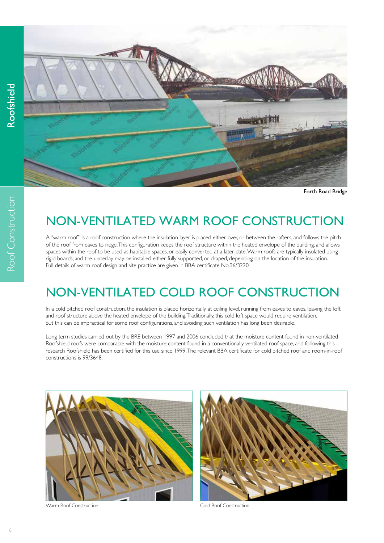Roof Construction

Roof Construction



Forth Road Bridge

## NON-VENTILATED WARM ROOF CONSTRUCTION

A "warm roof" is a roof construction where the insulation layer is placed either over, or between the rafters, and follows the pitch of the roof from eaves to ridge. This configuration keeps the roof structure within the heated envelope of the building, and allows spaces within the roof to be used as habitable spaces, or easily converted at a later date. Warm roofs are typically insulated using rigid boards, and the underlay may be installed either fully supported, or draped, depending on the location of the insulation. Full details of warm roof design and site practice are given in BBA certificate No.96/3220.

## NON-VENTILATED COLD ROOF CONSTRUCTION

In a cold pitched roof construction, the insulation is placed horizontally at ceiling level, running from eaves to eaves, leaving the loft and roof structure above the heated envelope of the building. Traditionally, this cold loft space would require ventilation, but this can be impractical for some roof configurations, and avoiding such ventilation has long been desirable.

Long term studies carried out by the BRE between 1997 and 2006 concluded that the moisture content found in non-ventilated Roofshield roofs were comparable with the moisture content found in a conventionally ventilated roof space, and following this research Roofshield has been certified for this use since 1999. The relevant BBA certificate for cold pitched roof and room-in-roof constructions is 99/3648.



Warm Roof Construction and Cold Roof Construction

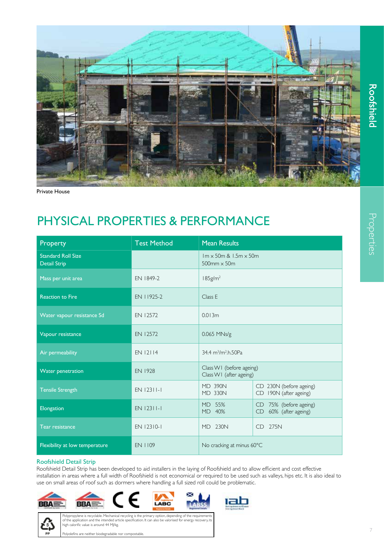

Private House

## PHYSICAL PROPERTIES & PERFORMANCE

| Property                                         | <b>Test Method</b> | <b>Mean Results</b>                                          |                                                    |
|--------------------------------------------------|--------------------|--------------------------------------------------------------|----------------------------------------------------|
| <b>Standard Roll Size</b><br><b>Detail Strip</b> |                    | $Im \times 50m$ & $1.5m \times 50m$<br>$500$ mm $\times$ 50m |                                                    |
| Mass per unit area                               | EN 1849-2          | $185$ g/m <sup>2</sup>                                       |                                                    |
| <b>Reaction to Fire</b>                          | EN 11925-2         | Class E                                                      |                                                    |
| Water vapour resistance Sd                       | EN 12572           | 0.013m                                                       |                                                    |
| Vapour resistance                                | EN 12572           | 0.065 MNs/g                                                  |                                                    |
| Air permeability                                 | EN 12114           | 34.4 m <sup>3</sup> /m <sup>2</sup> .h.50Pa                  |                                                    |
| <b>Water penetration</b>                         | <b>EN 1928</b>     | Class W1 (before ageing)<br>Class W1 (after ageing)          |                                                    |
| <b>Tensile Strength</b>                          | EN 12311-1         | <b>MD 390N</b><br><b>MD 330N</b>                             | CD 230N (before ageing)<br>CD 190N (after ageing)  |
| Elongation                                       | EN 12311-1         | MD 55%<br>MD 40%                                             | CD 75% (before ageing)<br>60% (after ageing)<br>CD |
| <b>Tear resistance</b>                           | EN 12310-1         | MD 230N                                                      | CD 275N                                            |
| Flexibility at low temperature                   | <b>EN 1109</b>     | No cracking at minus 60°C                                    |                                                    |

#### Roofshield Detail Strip

Roofshield Detail Strip has been developed to aid installers in the laying of Roofshield and to allow efficient and cost effective installation in areas where a full width of Roofshield is not economical or required to be used such as valleys, hips etc. It is also ideal to use on small areas of roof such as dormers where handling a full sized roll could be problematic.











Polypropylene is recyclable. Mechanical recycling is the primary option, depending of the requirements of the application and the intended article specification. It can also be valorised for energy recovery, its high calorific value is around 44 MJ/kg. Polyolefins are neither biodegradable nor compostable.

 $\overline{7}$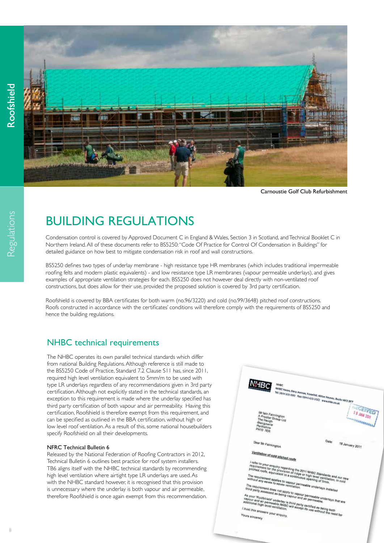Regulations



Carnoustie Golf Club Refurbishment

# BUILDING REGULATIONS

Condensation control is covered by Approved Document C in England & Wales, Section 3 in Scotland, and Technical Booklet C in Northern Ireland. All of these documents refer to BS5250: "Code Of Practice for Control Of Condensation in Buildings" for detailed guidance on how best to mitigate condensation risk in roof and wall constructions.

BS5250 defines two types of underlay membrane - high resistance type HR membranes (which includes traditional impermeable roofing felts and modern plastic equivalents) - and low resistance type LR membranes (vapour permeable underlays), and gives examples of appropriate ventilation strategies for each. BS5250 does not however deal directly with non-ventilated roof constructions, but does allow for their use, provided the proposed solution is covered by 3rd party certification.

Roofshield is covered by BBA certificates for both warm (no.96/3220) and cold (no.99/3648) pitched roof constructions. Roofs constructed in accordance with the certificates' conditions will therefore comply with the requirements of BS5250 and hence the building regulations.

## NHBC technical requirements

The NHBC operates its own parallel technical standards which differ from national Building Regulations. Although reference is still made to the BS5250 Code of Practice, Standard 7.2 Clause S11 has, since 2011, required high level ventilation equivalent to 5mm/m to be used with type LR underlays regardless of any recommendations given in 3rd party certification. Although not explicitly stated in the technical standards, an exception to this requirement is made where the underlay specified has third party certification of both vapour and air permeability. Having this certification, Roofshield is therefore exempt from this requirement, and can be specified as outlined in the BBA certification, without high or low level roof ventilation. As a result of this, some national housebuilders specify Roofshield on all their developments.

#### NFRC Technical Bulletin 6

Released by the National Federation of Roofing Contractors in 2012, Technical Bulletin 6 outlines best practice for roof system installers. TB6 aligns itself with the NHBC technical standards by recommending high level ventilation where airtight type LR underlays are used. As with the NHBC standard however, it is recognised that this provision is unnecessary where the underlay is both vapour and air permeable, therefore Roofshield is once again exempt from this recommendation.

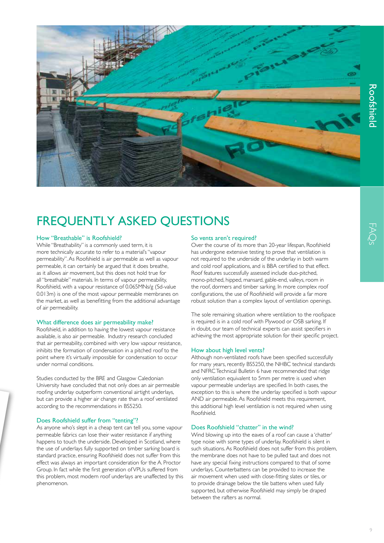

# FREQUENTLY ASKED QUESTIONS

### How "Breathable" is Roofshield?

While "Breathability" is a commonly used term, it is more technically accurate to refer to a material's "vapour permeability". As Roofshield is air permeable as well as vapour permeable, it can certainly be argued that it does breathe, as it allows air movement, but this does not hold true for all "breathable" materials. In terms of vapour permeability, Roofshield, with a vapour resistance of 0.065MNs/g (Sd-value 0.013m) is one of the most vapour permeable membranes on the market, as well as benefitting from the additional advantage of air permeability.

#### What difference does air permeability make?

Roofshield, in addition to having the lowest vapour resistance available, is also air permeable. Industry research concluded that air permeability, combined with very low vapour resistance, inhibits the formation of condensation in a pitched roof to the point where it's virtually impossible for condensation to occur under normal conditions.

Studies conducted by the BRE and Glasgow Caledonian University have concluded that not only does an air permeable roofing underlay outperform conventional airtight underlays, but can provide a higher air change rate than a roof ventilated according to the recommendations in BS5250.

#### Does Roofshield suffer from "tenting"?

As anyone who's slept in a cheap tent can tell you, some vapour permeable fabrics can lose their water resistance if anything happens to touch the underside. Developed in Scotland, where the use of underlays fully supported on timber sarking board is standard practice, ensuring Roofshield does not suffer from this effect was always an important consideration for the A. Proctor Group. In fact while the first generation of VPUs suffered from this problem, most modern roof underlays are unaffected by this phenomenon.

#### So vents aren't required?

Over the course of its more than 20-year lifespan, Roofshield has undergone extensive testing to prove that ventilation is not required to the underside of the underlay in both warm and cold roof applications, and is BBA certified to that effect. Roof features successfully assessed include duo-pitched, mono-pitched, hipped, mansard, gable-end, valleys, room in the roof, dormers and timber sarking. In more complex roof configurations, the use of Roofshield will provide a far more robust solution than a complex layout of ventilation openings.

The sole remaining situation where ventilation to the roofspace is required is in a cold roof with Plywood or OSB sarking. If in doubt, our team of technical experts can assist specifiers in achieving the most appropriate solution for their specific project.

#### How about high level vents?

Although non-ventilated roofs have been specified successfully for many years, recently BS5250, the NHBC technical standards and NFRC Technical Bulletin 6 have recommended that ridge only ventilation equivalent to 5mm per metre is used when vapour permeable underlays are specified. In both cases, the exception to this is where the underlay specified is both vapour AND air permeable. As Roofshield meets this requirement, this additional high level ventilation is not required when using Roofshield.

#### Does Roofshield "chatter" in the wind?

Wind blowing up into the eaves of a roof can cause a 'chatter' type noise with some types of underlay. Roofshield is silent in such situations. As Roofshield does not suffer from this problem, the membrane does not have to be pulled taut and does not have any special fixing instructions compared to that of some underlays. Counterbattens can be provided to increase the air movement when used with close-fitting slates or tiles, or to provide drainage below the tile battens when used fully supported, but otherwise Roofshield may simply be draped between the rafters as normal.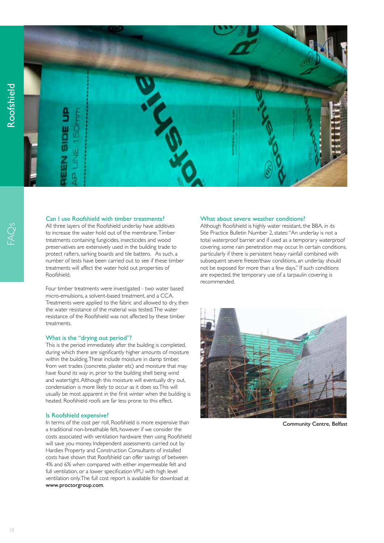

#### Can I use Roofshield with timber treatments?

All three layers of the Roofshield underlay have additives to increase the water hold out of the membrane. Timber treatments containing fungicides, insecticides and wood preservatives are extensively used in the building trade to protect rafters, sarking boards and tile battens. As such, a number of tests have been carried out to see if these timber treatments will affect the water hold out properties of Roofshield.

Four timber treatments were investigated - two water based micro-emulsions, a solvent-based treatment, and a CCA. Treatments were applied to the fabric and allowed to dry, then the water resistance of the material was tested. The water resistance of the Roofshield was not affected by these timber treatments.

#### What is the "drying out period"?

This is the period immediately after the building is completed, during which there are significantly higher amounts of moisture within the building. These include moisture in damp timber, from wet trades (concrete, plaster etc) and moisture that may have found its way in, prior to the building shell being wind and watertight. Although this moisture will eventually dry out, condensation is more likely to occur as it does so. This will usually be most apparent in the first winter when the building is heated. Roofshield roofs are far less prone to this effect.

#### Is Roofshield expensive?

In terms of the cost per roll, Roofshield is more expensive than a traditional non-breathable felt, however if we consider the costs associated with ventilation hardware then using Roofshield will save you money. Independent assessments carried out by Hardies Property and Construction Consultants of installed costs have shown that Roofshield can offer savings of between 4% and 6% when compared with either impermeable felt and full ventilation, or a lower specification VPU with high level ventilation only. The full cost report is available for download at www.proctorgroup.com.

#### What about severe weather conditions?

Although Roofshield is highly water resistant, the BBA, in its Site Practice Bulletin Number 2, states: "An underlay is not a total waterproof barrier and if used as a temporary waterproof covering, some rain penetration may occur. In certain conditions, particularly if there is persistent heavy rainfall combined with subsequent severe freeze/thaw conditions, an underlay should not be exposed for more than a few days." If such conditions are expected, the temporary use of a tarpaulin covering is recommended.



Community Centre, Belfast

 $\omega$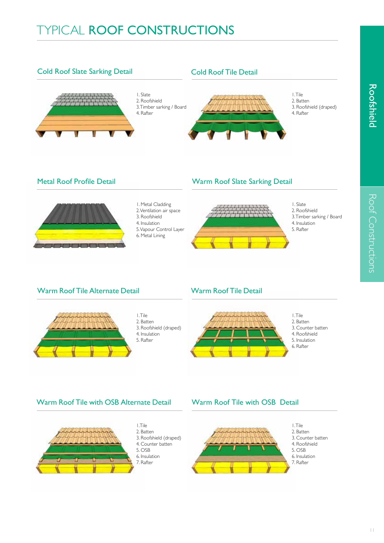

## Warm Roof Tile with OSB Alternate Detail Warm Roof Tile with OSB Detail







Roof Constructions

Roof Constructions

**Roofshield**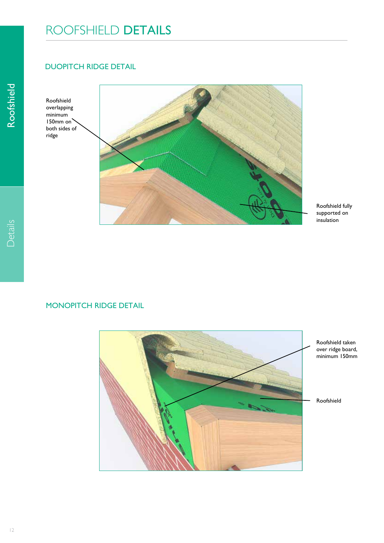# ROOFSHIELD DETAILS

## DUOPITCH RIDGE DETAIL

Roofshield overlapping minimum 150mm on both sides of ridge



Roofshield fully supported on insulation

### MONOPITCH RIDGE DETAIL

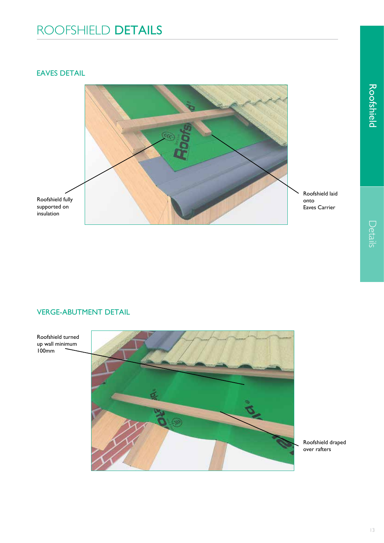# ROOFSHIELD DETAILS

### EAVES DETAIL



### VERGE-ABUTMENT DETAIL



Roofshield draped over rafters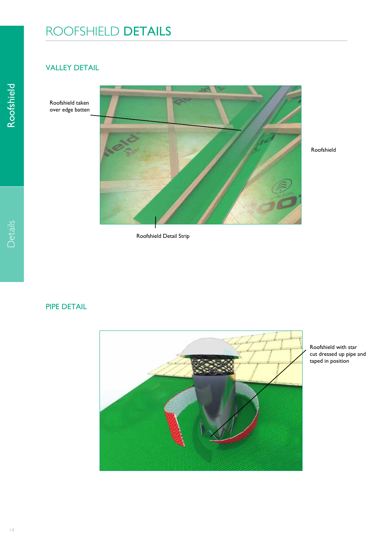# ROOFSHIELD DETAILS

## VALLEY DETAIL

Roofshield taken over edge batten



Roofshield Detail Strip

### PIPE DETAIL



Roofshield with star cut dressed up pipe and taped in position

Roofshield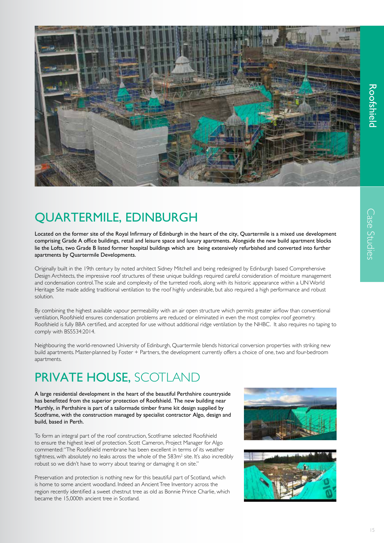

# QUARTERMILE, EDINBURGH

Located on the former site of the Royal Infirmary of Edinburgh in the heart of the city, Quartermile is a mixed use development comprising Grade A office buildings, retail and leisure space and luxury apartments. Alongside the new build apartment blocks lie the Lofts, two Grade B listed former hospital buildings which are being extensively refurbished and converted into further apartments by Quartermile Developments.

Originally built in the 19th century by noted architect Sidney Mitchell and being redesigned by Edinburgh based Comprehensive Design Architects, the impressive roof structures of these unique buildings required careful consideration of moisture management and condensation control. The scale and complexity of the turreted roofs, along with its historic appearance within a UN World Heritage Site made adding traditional ventilation to the roof highly undesirable, but also required a high performance and robust solution.

By combining the highest available vapour permeability with an air open structure which permits greater airflow than conventional ventilation, Roofshield ensures condensation problems are reduced or eliminated in even the most complex roof geometry. Roofshield is fully BBA certified, and accepted for use without additional ridge ventilation by the NHBC. It also requires no taping to comply with BS5534:2014.

Neighbouring the world-renowned University of Edinburgh, Quartermile blends historical conversion properties with striking new build apartments. Master-planned by Foster + Partners, the development currently offers a choice of one, two and four-bedroom apartments.

# PRIVATE HOUSE, SCOTLAND

A large residential development in the heart of the beautiful Perthshire countryside has benefitted from the superior protection of Roofshield. The new building near Murthly, in Perthshire is part of a tailormade timber frame kit design supplied by Scotframe, with the construction managed by specialist contractor Algo, design and build, based in Perth.

To form an integral part of the roof construction, Scotframe selected Roofshield to ensure the highest level of protection. Scott Cameron, Project Manager for Algo commented: "The Roofshield membrane has been excellent in terms of its weather tightness, with absolutely no leaks across the whole of the  $583m^2$  site. It's also incredibly robust so we didn't have to worry about tearing or damaging it on site."

Preservation and protection is nothing new for this beautiful part of Scotland, which is home to some ancient woodland. Indeed an Ancient Tree Inventory across the region recently identified a sweet chestnut tree as old as Bonnie Prince Charlie, which became the 15,000th ancient tree in Scotland.